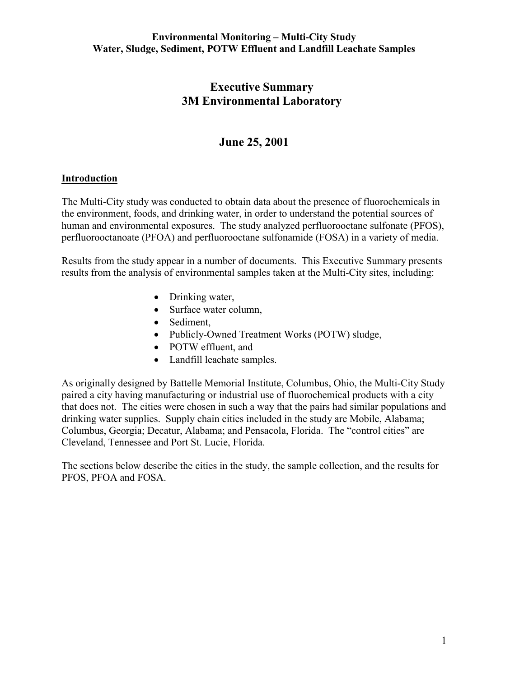# **Executive Summary 3M Environmental Laboratory**

# **June 25, 2001**

### **Introduction**

The Multi-City study was conducted to obtain data about the presence of fluorochemicals in the environment, foods, and drinking water, in order to understand the potential sources of human and environmental exposures. The study analyzed perfluorooctane sulfonate (PFOS), perfluorooctanoate (PFOA) and perfluorooctane sulfonamide (FOSA) in a variety of media.

Results from the study appear in a number of documents. This Executive Summary presents results from the analysis of environmental samples taken at the Multi-City sites, including:

- Drinking water,
- Surface water column,
- Sediment,
- Publicly-Owned Treatment Works (POTW) sludge,
- POTW effluent, and
- Landfill leachate samples.

As originally designed by Battelle Memorial Institute, Columbus, Ohio, the Multi-City Study paired a city having manufacturing or industrial use of fluorochemical products with a city that does not. The cities were chosen in such a way that the pairs had similar populations and drinking water supplies. Supply chain cities included in the study are Mobile, Alabama; Columbus, Georgia; Decatur, Alabama; and Pensacola, Florida. The "control cities" are Cleveland, Tennessee and Port St. Lucie, Florida.

The sections below describe the cities in the study, the sample collection, and the results for PFOS, PFOA and FOSA.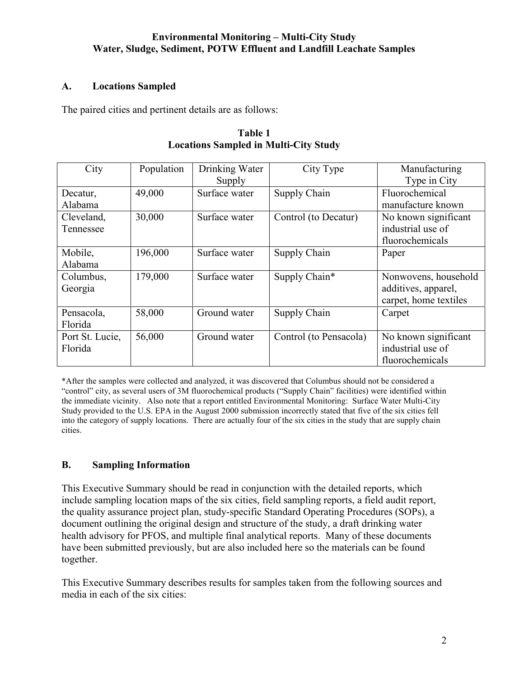## **A. Locations Sampled**

The paired cities and pertinent details are as follows:

| City            | Population | Drinking Water | City Type              | Manufacturing         |  |
|-----------------|------------|----------------|------------------------|-----------------------|--|
|                 |            | Supply         |                        | Type in City          |  |
| Decatur,        | 49,000     | Surface water  | Supply Chain           | Fluorochemical        |  |
| Alabama         |            |                |                        | manufacture known     |  |
| Cleveland,      | 30,000     | Surface water  | Control (to Decatur)   | No known significant  |  |
| Tennessee       |            |                |                        | industrial use of     |  |
|                 |            |                |                        | fluorochemicals       |  |
| Mobile,         | 196,000    | Surface water  | Supply Chain           | Paper                 |  |
| Alabama         |            |                |                        |                       |  |
| Columbus,       | 179,000    | Surface water  | Supply Chain*          | Nonwovens, household  |  |
| Georgia         |            |                |                        | additives, apparel,   |  |
|                 |            |                |                        | carpet, home textiles |  |
| Pensacola,      | 58,000     | Ground water   | Supply Chain           | Carpet                |  |
| Florida         |            |                |                        |                       |  |
| Port St. Lucie, | 56,000     | Ground water   | Control (to Pensacola) | No known significant  |  |
| Florida         |            |                |                        | industrial use of     |  |
|                 |            |                |                        | fluorochemicals       |  |

| Table 1                                      |  |  |  |  |  |  |
|----------------------------------------------|--|--|--|--|--|--|
| <b>Locations Sampled in Multi-City Study</b> |  |  |  |  |  |  |

\*After the samples were collected and analyzed, it was discovered that Columbus should not be considered a "control" city, as several users of 3M fluorochemical products ("Supply Chain" facilities) were identified within the immediate vicinity. Also note that a report entitled Environmental Monitoring: Surface Water Multi-City Study provided to the U.S. EPA in the August 2000 submission incorrectly stated that five of the six cities fell into the category of supply locations. There are actually four of the six cities in the study that are supply chain cities.

## **B. Sampling Information**

This Executive Summary should be read in conjunction with the detailed reports, which include sampling location maps of the six cities, field sampling reports, a field audit report, the quality assurance project plan, study-specific Standard Operating Procedures (SOPs), a document outlining the original design and structure of the study, a draft drinking water health advisory for PFOS, and multiple final analytical reports. Many of these documents have been submitted previously, but are also included here so the materials can be found together.

This Executive Summary describes results for samples taken from the following sources and media in each of the six cities: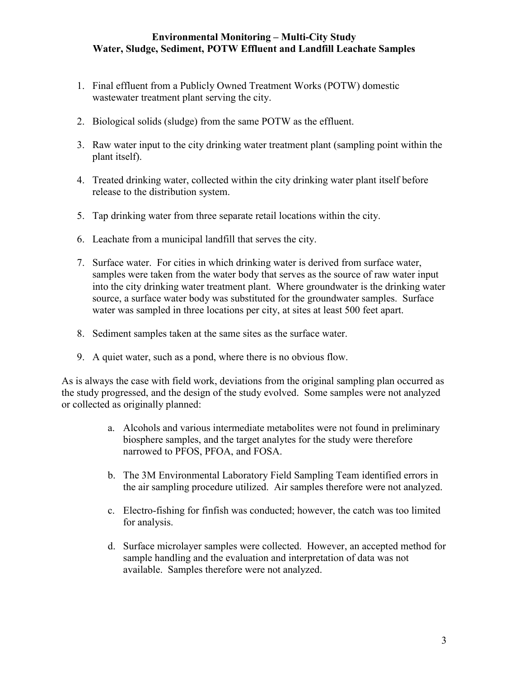- 1. Final effluent from a Publicly Owned Treatment Works (POTW) domestic wastewater treatment plant serving the city.
- 2. Biological solids (sludge) from the same POTW as the effluent.
- 3. Raw water input to the city drinking water treatment plant (sampling point within the plant itself).
- 4. Treated drinking water, collected within the city drinking water plant itself before release to the distribution system.
- 5. Tap drinking water from three separate retail locations within the city.
- 6. Leachate from a municipal landfill that serves the city.
- 7. Surface water. For cities in which drinking water is derived from surface water, samples were taken from the water body that serves as the source of raw water input into the city drinking water treatment plant. Where groundwater is the drinking water source, a surface water body was substituted for the groundwater samples. Surface water was sampled in three locations per city, at sites at least 500 feet apart.
- 8. Sediment samples taken at the same sites as the surface water.
- 9. A quiet water, such as a pond, where there is no obvious flow.

As is always the case with field work, deviations from the original sampling plan occurred as the study progressed, and the design of the study evolved. Some samples were not analyzed or collected as originally planned:

- a. Alcohols and various intermediate metabolites were not found in preliminary biosphere samples, and the target analytes for the study were therefore narrowed to PFOS, PFOA, and FOSA.
- b. The 3M Environmental Laboratory Field Sampling Team identified errors in the air sampling procedure utilized. Air samples therefore were not analyzed.
- c. Electro-fishing for finfish was conducted; however, the catch was too limited for analysis.
- d. Surface microlayer samples were collected. However, an accepted method for sample handling and the evaluation and interpretation of data was not available. Samples therefore were not analyzed.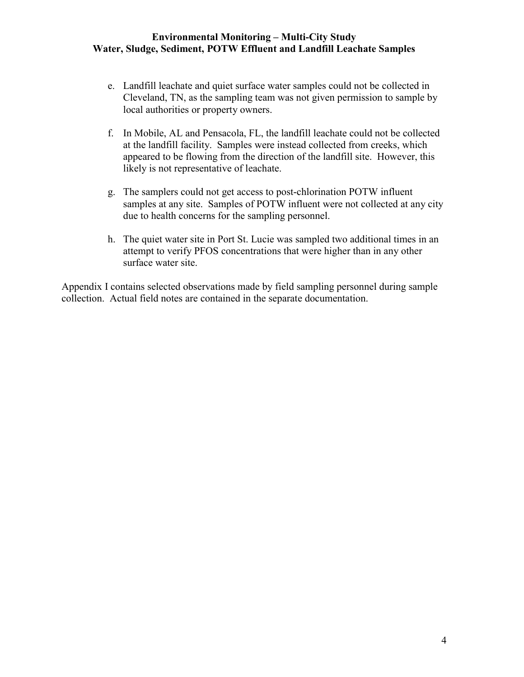- e. Landfill leachate and quiet surface water samples could not be collected in Cleveland, TN, as the sampling team was not given permission to sample by local authorities or property owners.
- f. In Mobile, AL and Pensacola, FL, the landfill leachate could not be collected at the landfill facility. Samples were instead collected from creeks, which appeared to be flowing from the direction of the landfill site. However, this likely is not representative of leachate.
- g. The samplers could not get access to post-chlorination POTW influent samples at any site. Samples of POTW influent were not collected at any city due to health concerns for the sampling personnel.
- h. The quiet water site in Port St. Lucie was sampled two additional times in an attempt to verify PFOS concentrations that were higher than in any other surface water site.

Appendix I contains selected observations made by field sampling personnel during sample collection. Actual field notes are contained in the separate documentation.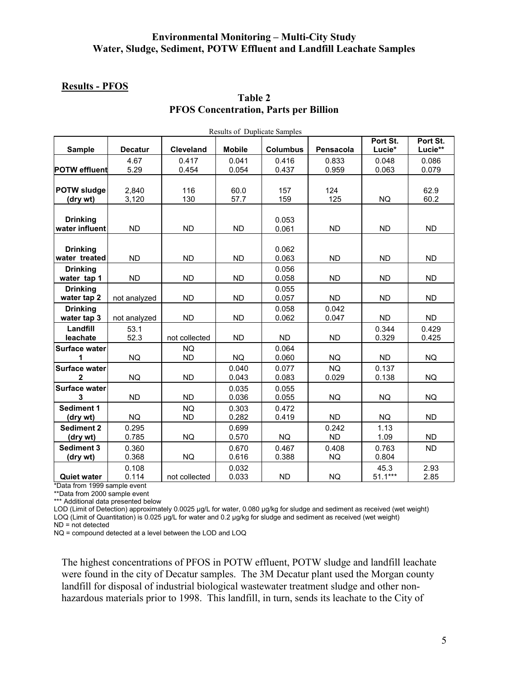#### **Results - PFOS**

## **Table 2 PFOS Concentration, Parts per Billion**

| <b>Results of Duplicate Samples</b>    |                |                        |                |                 |                    |                    |                     |  |
|----------------------------------------|----------------|------------------------|----------------|-----------------|--------------------|--------------------|---------------------|--|
| <b>Sample</b>                          | <b>Decatur</b> | <b>Cleveland</b>       | <b>Mobile</b>  | <b>Columbus</b> | Pensacola          | Port St.<br>Lucie* | Port St.<br>Lucie** |  |
| <b>POTW effluent</b>                   | 4.67<br>5.29   | 0.417<br>0.454         | 0.041<br>0.054 | 0.416<br>0.437  | 0.833<br>0.959     | 0.048<br>0.063     | 0.086<br>0.079      |  |
| <b>POTW sludge</b><br>(dry wt)         | 2,840<br>3,120 | 116<br>130             | 60.0<br>57.7   | 157<br>159      | 124<br>125         | <b>NQ</b>          | 62.9<br>60.2        |  |
| <b>Drinking</b><br>water influent      | <b>ND</b>      | <b>ND</b>              | <b>ND</b>      | 0.053<br>0.061  | <b>ND</b>          | <b>ND</b>          | <b>ND</b>           |  |
| <b>Drinking</b><br>water treated       | <b>ND</b>      | <b>ND</b>              | <b>ND</b>      | 0.062<br>0.063  | <b>ND</b>          | <b>ND</b>          | <b>ND</b>           |  |
| <b>Drinking</b><br>water tap 1         | <b>ND</b>      | <b>ND</b>              | <b>ND</b>      | 0.056<br>0.058  | <b>ND</b>          | <b>ND</b>          | <b>ND</b>           |  |
| <b>Drinking</b><br>water tap 2         | not analyzed   | <b>ND</b>              | <b>ND</b>      | 0.055<br>0.057  | <b>ND</b>          | <b>ND</b>          | <b>ND</b>           |  |
| <b>Drinking</b><br>water tap 3         | not analyzed   | <b>ND</b>              | <b>ND</b>      | 0.058<br>0.062  | 0.042<br>0.047     | <b>ND</b>          | <b>ND</b>           |  |
| Landfill<br>leachate                   | 53.1<br>52.3   | not collected          | <b>ND</b>      | <b>ND</b>       | <b>ND</b>          | 0.344<br>0.329     | 0.429<br>0.425      |  |
| <b>Surface water</b><br>1              | <b>NQ</b>      | <b>NQ</b><br><b>ND</b> | <b>NQ</b>      | 0.064<br>0.060  | <b>NQ</b>          | <b>ND</b>          | <b>NQ</b>           |  |
| <b>Surface water</b><br>$\overline{2}$ | <b>NQ</b>      | <b>ND</b>              | 0.040<br>0.043 | 0.077<br>0.083  | <b>NQ</b><br>0.029 | 0.137<br>0.138     | <b>NQ</b>           |  |
| <b>Surface water</b><br>3              | <b>ND</b>      | <b>ND</b>              | 0.035<br>0.036 | 0.055<br>0.055  | <b>NQ</b>          | <b>NQ</b>          | <b>NQ</b>           |  |
| <b>Sediment 1</b><br>(dry wt)          | <b>NQ</b>      | <b>NQ</b><br><b>ND</b> | 0.303<br>0.282 | 0.472<br>0.419  | <b>ND</b>          | <b>NQ</b>          | <b>ND</b>           |  |
| <b>Sediment 2</b><br>(dry wt)          | 0.295<br>0.785 | <b>NQ</b>              | 0.699<br>0.570 | <b>NQ</b>       | 0.242<br><b>ND</b> | 1.13<br>1.09       | <b>ND</b>           |  |
| <b>Sediment 3</b><br>(dry wt)          | 0.360<br>0.368 | <b>NQ</b>              | 0.670<br>0.616 | 0.467<br>0.388  | 0.408<br><b>NQ</b> | 0.763<br>0.804     | <b>ND</b>           |  |
| <b>Quiet water</b>                     | 0.108<br>0.114 | not collected          | 0.032<br>0.033 | <b>ND</b>       | <b>NQ</b>          | 45.3<br>$51.1***$  | 2.93<br>2.85        |  |

\*Data from 1999 sample event

\*\*Data from 2000 sample event

\*\*\* Additional data presented below

LOD (Limit of Detection) approximately 0.0025 µg/L for water, 0.080 µg/kg for sludge and sediment as received (wet weight) LOQ (Limit of Quantitation) is 0.025 µg/L for water and 0.2 µg/kg for sludge and sediment as received (wet weight) ND = not detected

NQ = compound detected at a level between the LOD and LOQ

The highest concentrations of PFOS in POTW effluent, POTW sludge and landfill leachate were found in the city of Decatur samples. The 3M Decatur plant used the Morgan county landfill for disposal of industrial biological wastewater treatment sludge and other nonhazardous materials prior to 1998. This landfill, in turn, sends its leachate to the City of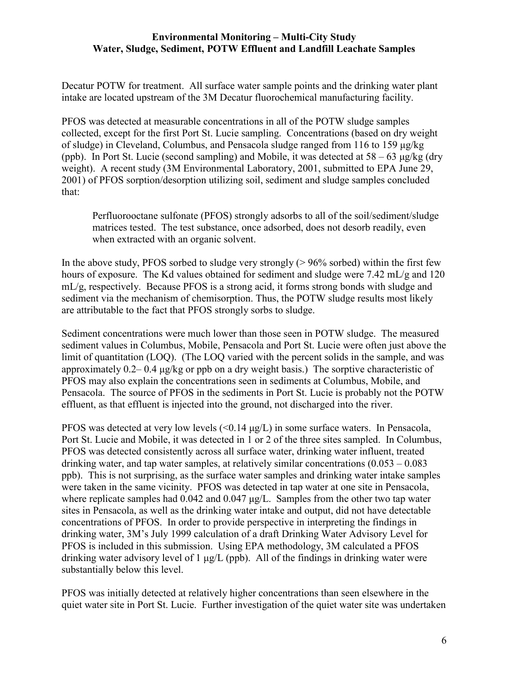Decatur POTW for treatment. All surface water sample points and the drinking water plant intake are located upstream of the 3M Decatur fluorochemical manufacturing facility.

PFOS was detected at measurable concentrations in all of the POTW sludge samples collected, except for the first Port St. Lucie sampling. Concentrations (based on dry weight of sludge) in Cleveland, Columbus, and Pensacola sludge ranged from 116 to 159 µg/kg (ppb). In Port St. Lucie (second sampling) and Mobile, it was detected at  $58 - 63 \mu g/kg$  (dry weight). A recent study (3M Environmental Laboratory, 2001, submitted to EPA June 29, 2001) of PFOS sorption/desorption utilizing soil, sediment and sludge samples concluded that:

Perfluorooctane sulfonate (PFOS) strongly adsorbs to all of the soil/sediment/sludge matrices tested. The test substance, once adsorbed, does not desorb readily, even when extracted with an organic solvent.

In the above study, PFOS sorbed to sludge very strongly  $(> 96\%$  sorbed) within the first few hours of exposure. The Kd values obtained for sediment and sludge were 7.42 mL/g and 120 mL/g, respectively. Because PFOS is a strong acid, it forms strong bonds with sludge and sediment via the mechanism of chemisorption. Thus, the POTW sludge results most likely are attributable to the fact that PFOS strongly sorbs to sludge.

Sediment concentrations were much lower than those seen in POTW sludge. The measured sediment values in Columbus, Mobile, Pensacola and Port St. Lucie were often just above the limit of quantitation (LOQ). (The LOQ varied with the percent solids in the sample, and was approximately 0.2– 0.4 µg/kg or ppb on a dry weight basis.) The sorptive characteristic of PFOS may also explain the concentrations seen in sediments at Columbus, Mobile, and Pensacola. The source of PFOS in the sediments in Port St. Lucie is probably not the POTW effluent, as that effluent is injected into the ground, not discharged into the river.

PFOS was detected at very low levels (<0.14  $\mu$ g/L) in some surface waters. In Pensacola, Port St. Lucie and Mobile, it was detected in 1 or 2 of the three sites sampled. In Columbus, PFOS was detected consistently across all surface water, drinking water influent, treated drinking water, and tap water samples, at relatively similar concentrations  $(0.053 - 0.083)$ ppb). This is not surprising, as the surface water samples and drinking water intake samples were taken in the same vicinity. PFOS was detected in tap water at one site in Pensacola, where replicate samples had 0.042 and 0.047  $\mu$ g/L. Samples from the other two tap water sites in Pensacola, as well as the drinking water intake and output, did not have detectable concentrations of PFOS. In order to provide perspective in interpreting the findings in drinking water, 3M's July 1999 calculation of a draft Drinking Water Advisory Level for PFOS is included in this submission. Using EPA methodology, 3M calculated a PFOS drinking water advisory level of 1 µg/L (ppb). All of the findings in drinking water were substantially below this level.

PFOS was initially detected at relatively higher concentrations than seen elsewhere in the quiet water site in Port St. Lucie. Further investigation of the quiet water site was undertaken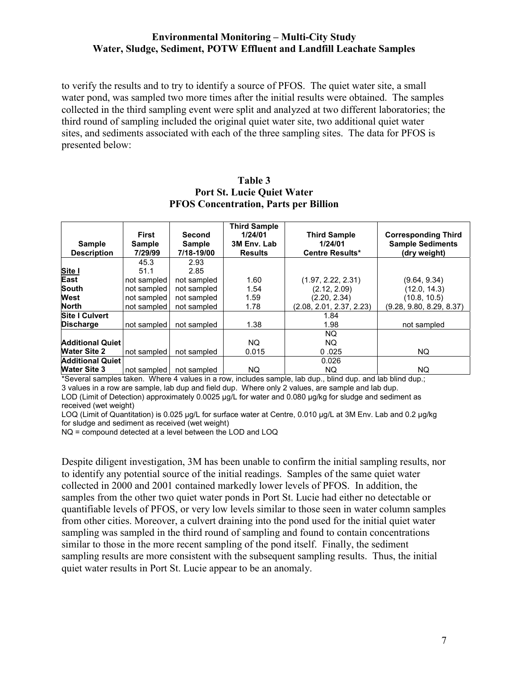to verify the results and to try to identify a source of PFOS. The quiet water site, a small water pond, was sampled two more times after the initial results were obtained. The samples collected in the third sampling event were split and analyzed at two different laboratories; the third round of sampling included the original quiet water site, two additional quiet water sites, and sediments associated with each of the three sampling sites. The data for PFOS is presented below:

|                                     | <b>First</b>             | Second                      | <b>Third Sample</b><br>1/24/01 | <b>Third Sample</b>               | <b>Corresponding Third</b>              |
|-------------------------------------|--------------------------|-----------------------------|--------------------------------|-----------------------------------|-----------------------------------------|
| <b>Sample</b><br><b>Description</b> | <b>Sample</b><br>7/29/99 | <b>Sample</b><br>7/18-19/00 | 3M Env. Lab<br><b>Results</b>  | 1/24/01<br><b>Centre Results*</b> | <b>Sample Sediments</b><br>(dry weight) |
|                                     | 45.3                     | 2.93                        |                                |                                   |                                         |
| Site I                              | 51.1                     | 2.85                        |                                |                                   |                                         |
| East                                | not sampled              | not sampled                 | 1.60                           | (1.97, 2.22, 2.31)                | (9.64, 9.34)                            |
| South                               | not sampled              | not sampled                 | 1.54                           | (2.12, 2.09)                      | (12.0, 14.3)                            |
| West                                | not sampled              | not sampled                 | 1.59                           | (2.20, 2.34)                      | (10.8, 10.5)                            |
| <b>North</b>                        | not sampled              | not sampled                 | 1.78                           | (2.08, 2.01, 2.37, 2.23)          | (9.28, 9.80, 8.29, 8.37)                |
| <b>Site I Culvert</b>               |                          |                             |                                | 1.84                              |                                         |
| <b>Discharge</b>                    | not sampled              | not sampled                 | 1.38                           | 1.98                              | not sampled                             |
|                                     |                          |                             |                                | NQ.                               |                                         |
| <b>Additional Quiet</b>             |                          |                             | NQ.                            | NQ.                               |                                         |
| <b>Water Site 2</b>                 | not sampled              | not sampled                 | 0.015                          | 0.025                             | NQ.                                     |
| <b>Additional Quiet</b>             |                          |                             |                                | 0.026                             |                                         |
| <b>Water Site 3</b>                 | not sampled              | not sampled                 | NQ                             | NQ.                               | NQ.                                     |

#### **Table 3 Port St. Lucie Quiet Water PFOS Concentration, Parts per Billion**

\*Several samples taken. Where 4 values in a row, includes sample, lab dup., blind dup. and lab blind dup.; 3 values in a row are sample, lab dup and field dup. Where only 2 values, are sample and lab dup. LOD (Limit of Detection) approximately 0.0025 µg/L for water and 0.080 µg/kg for sludge and sediment as received (wet weight)

LOQ (Limit of Quantitation) is 0.025 µg/L for surface water at Centre, 0.010 µg/L at 3M Env. Lab and 0.2 µg/kg for sludge and sediment as received (wet weight)

NQ = compound detected at a level between the LOD and LOQ

Despite diligent investigation, 3M has been unable to confirm the initial sampling results, nor to identify any potential source of the initial readings. Samples of the same quiet water collected in 2000 and 2001 contained markedly lower levels of PFOS. In addition, the samples from the other two quiet water ponds in Port St. Lucie had either no detectable or quantifiable levels of PFOS, or very low levels similar to those seen in water column samples from other cities. Moreover, a culvert draining into the pond used for the initial quiet water sampling was sampled in the third round of sampling and found to contain concentrations similar to those in the more recent sampling of the pond itself. Finally, the sediment sampling results are more consistent with the subsequent sampling results. Thus, the initial quiet water results in Port St. Lucie appear to be an anomaly.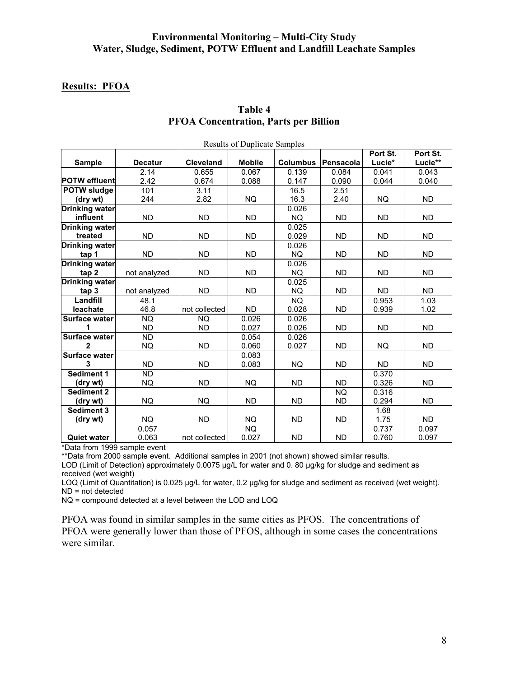#### **Results: PFOA**

| <b>Results of Duplicate Samples</b> |                |                  |               |                 |           |           |           |  |
|-------------------------------------|----------------|------------------|---------------|-----------------|-----------|-----------|-----------|--|
|                                     |                |                  |               |                 | Port St.  | Port St.  |           |  |
| <b>Sample</b>                       | <b>Decatur</b> | <b>Cleveland</b> | <b>Mobile</b> | <b>Columbus</b> | Pensacola | Lucie*    | Lucie**   |  |
|                                     | 2.14           | 0.655            | 0.067         | 0.139           | 0.084     | 0.041     | 0.043     |  |
| <b>POTW effluent</b>                | 2.42           | 0.674            | 0.088         | 0.147           | 0.090     | 0.044     | 0.040     |  |
| <b>POTW sludge</b>                  | 101            | 3.11             |               | 16.5            | 2.51      |           |           |  |
| (dry wt)                            | 244            | 2.82             | <b>NQ</b>     | 16.3            | 2.40      | <b>NQ</b> | <b>ND</b> |  |
| <b>Drinking water</b>               |                |                  |               | 0.026           |           |           |           |  |
| influent                            | <b>ND</b>      | <b>ND</b>        | <b>ND</b>     | <b>NQ</b>       | <b>ND</b> | <b>ND</b> | <b>ND</b> |  |
| Drinking water                      |                |                  |               | 0.025           |           |           |           |  |
| treated                             | <b>ND</b>      | <b>ND</b>        | <b>ND</b>     | 0.029           | <b>ND</b> | <b>ND</b> | <b>ND</b> |  |
| <b>Drinking water</b>               |                |                  |               | 0.026           |           |           |           |  |
| tap 1                               | <b>ND</b>      | <b>ND</b>        | <b>ND</b>     | <b>NQ</b>       | <b>ND</b> | <b>ND</b> | <b>ND</b> |  |
| <b>Drinking water</b>               |                |                  |               | 0.026           |           |           |           |  |
| tap 2                               | not analyzed   | <b>ND</b>        | <b>ND</b>     | NQ.             | <b>ND</b> | <b>ND</b> | <b>ND</b> |  |
| <b>Drinking water</b>               |                |                  |               | 0.025           |           |           |           |  |
| tan 3                               | not analyzed   | <b>ND</b>        | <b>ND</b>     | <b>NQ</b>       | <b>ND</b> | <b>ND</b> | <b>ND</b> |  |
| Landfill                            | 48.1           |                  |               | <b>NQ</b>       |           | 0.953     | 1.03      |  |
| leachate                            | 46.8           | not collected    | <b>ND</b>     | 0.028           | <b>ND</b> | 0.939     | 1.02      |  |
| <b>Surface water</b>                | <b>NQ</b>      | <b>NQ</b>        | 0.026         | 0.026           |           |           |           |  |
| 1                                   | <b>ND</b>      | <b>ND</b>        | 0.027         | 0.026           | <b>ND</b> | <b>ND</b> | <b>ND</b> |  |
| <b>Surface water</b>                | <b>ND</b>      |                  | 0.054         | 0.026           |           |           |           |  |
| 2                                   | <b>NQ</b>      | <b>ND</b>        | 0.060         | 0.027           | ND        | NQ        | <b>ND</b> |  |
| Surface water                       |                |                  | 0.083         |                 |           |           |           |  |
| 3                                   | <b>ND</b>      | <b>ND</b>        | 0.083         | <b>NQ</b>       | <b>ND</b> | <b>ND</b> | <b>ND</b> |  |
| <b>Sediment 1</b>                   | <b>ND</b>      |                  |               |                 |           | 0.370     |           |  |
| (dry wt)                            | <b>NQ</b>      | <b>ND</b>        | <b>NQ</b>     | <b>ND</b>       | <b>ND</b> | 0.326     | <b>ND</b> |  |
| <b>Sediment 2</b>                   |                |                  |               |                 | NQ        | 0.316     |           |  |
| (dry wt)                            | <b>NQ</b>      | <b>NQ</b>        | <b>ND</b>     | <b>ND</b>       | <b>ND</b> | 0.294     | <b>ND</b> |  |
| Sediment 3                          |                |                  |               |                 |           | 1.68      |           |  |
| (dry wt)                            | NQ.            | <b>ND</b>        | NQ.           | <b>ND</b>       | <b>ND</b> | 1.75      | <b>ND</b> |  |
|                                     | 0.057          |                  | <b>NQ</b>     |                 |           | 0.737     | 0.097     |  |
| <b>Quiet water</b>                  | 0.063          | not collected    | 0.027         | <b>ND</b>       | <b>ND</b> | 0.760     | 0.097     |  |

## **Table 4 PFOA Concentration, Parts per Billion**

\*Data from 1999 sample event

\*\*Data from 2000 sample event. Additional samples in 2001 (not shown) showed similar results. LOD (Limit of Detection) approximately 0.0075 µg/L for water and 0.80 µg/kg for sludge and sediment as received (wet weight)

LOQ (Limit of Quantitation) is 0.025 µg/L for water, 0.2 µg/kg for sludge and sediment as received (wet weight). ND = not detected

NQ = compound detected at a level between the LOD and LOQ

PFOA was found in similar samples in the same cities as PFOS. The concentrations of PFOA were generally lower than those of PFOS, although in some cases the concentrations were similar.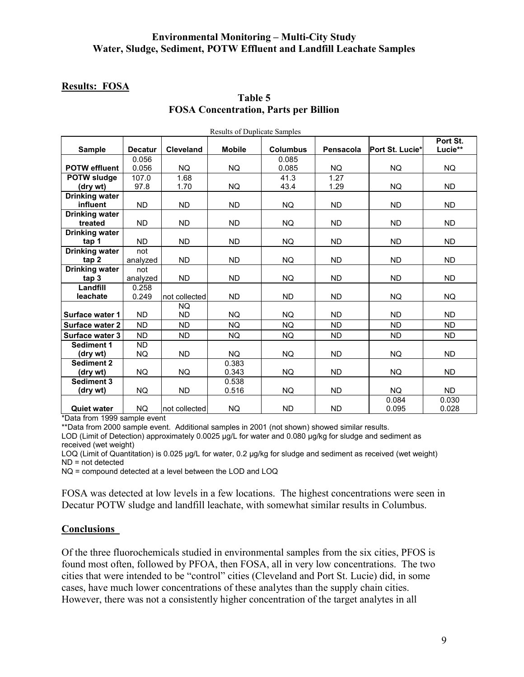### **Results: FOSA**

| <b>Results of Duplicate Samples</b> |                |                  |               |                 |           |                 |           |
|-------------------------------------|----------------|------------------|---------------|-----------------|-----------|-----------------|-----------|
|                                     |                |                  |               |                 |           |                 | Port St.  |
| <b>Sample</b>                       | <b>Decatur</b> | <b>Cleveland</b> | <b>Mobile</b> | <b>Columbus</b> | Pensacola | Port St. Lucie* | Lucie**   |
|                                     | 0.056          |                  |               | 0.085           |           |                 |           |
| <b>POTW effluent</b>                | 0.056          | <b>NQ</b>        | NQ            | 0.085           | <b>NQ</b> | <b>NQ</b>       | <b>NQ</b> |
| <b>POTW sludge</b>                  | 107.0          | 1.68             |               | 41.3            | 1.27      |                 |           |
| (dry wt)                            | 97.8           | 1.70             | <b>NQ</b>     | 43.4            | 1.29      | NQ.             | <b>ND</b> |
| <b>Drinking water</b>               |                |                  |               |                 |           |                 |           |
| influent                            | <b>ND</b>      | <b>ND</b>        | ND.           | NQ.             | <b>ND</b> | ND.             | <b>ND</b> |
| <b>Drinking water</b>               |                |                  |               |                 |           |                 |           |
| treated                             | <b>ND</b>      | <b>ND</b>        | ND.           | <b>NQ</b>       | <b>ND</b> | ND.             | <b>ND</b> |
| <b>Drinking water</b>               |                |                  |               |                 |           |                 |           |
| tap 1                               | <b>ND</b>      | <b>ND</b>        | <b>ND</b>     | <b>NQ</b>       | <b>ND</b> | <b>ND</b>       | <b>ND</b> |
| <b>Drinking water</b>               | not            |                  |               |                 |           |                 |           |
| tap 2                               | analyzed       | <b>ND</b>        | ND.           | NQ.             | <b>ND</b> | <b>ND</b>       | <b>ND</b> |
| <b>Drinking water</b>               | not            |                  |               |                 |           |                 |           |
| tan <sub>3</sub>                    | analyzed       | <b>ND</b>        | ND.           | NQ              | <b>ND</b> | ND.             | <b>ND</b> |
| Landfill                            | 0.258          |                  |               |                 |           |                 |           |
| leachate                            | 0.249          | not collected    | <b>ND</b>     | <b>ND</b>       | <b>ND</b> | NQ.             | <b>NQ</b> |
|                                     |                | <b>NQ</b>        |               |                 |           |                 |           |
| Surface water 1                     | <b>ND</b>      | <b>ND</b>        | <b>NQ</b>     | <b>NQ</b>       | <b>ND</b> | <b>ND</b>       | <b>ND</b> |
| Surface water 2                     | <b>ND</b>      | <b>ND</b>        | <b>NQ</b>     | <b>NQ</b>       | <b>ND</b> | <b>ND</b>       | <b>ND</b> |
| Surface water 3                     | <b>ND</b>      | <b>ND</b>        | <b>NQ</b>     | NQ              | <b>ND</b> | <b>ND</b>       | <b>ND</b> |
| <b>Sediment 1</b>                   | <b>ND</b>      |                  |               |                 |           |                 |           |
| (dry wt)                            | NQ.            | <b>ND</b>        | <b>NQ</b>     | <b>NQ</b>       | <b>ND</b> | <b>NQ</b>       | <b>ND</b> |
| <b>Sediment 2</b>                   |                |                  | 0.383         |                 |           |                 |           |
| (dry wt)                            | NQ.            | NQ.              | 0.343         | <b>NQ</b>       | <b>ND</b> | NQ.             | <b>ND</b> |
| <b>Sediment 3</b>                   |                |                  | 0.538         |                 |           |                 |           |
| (dry wt)                            | <b>NQ</b>      | <b>ND</b>        | 0.516         | <b>NQ</b>       | <b>ND</b> | <b>NQ</b>       | <b>ND</b> |
|                                     |                |                  |               |                 |           | 0.084           | 0.030     |
| <b>Quiet water</b>                  | <b>NQ</b>      | Inot collected   | <b>NQ</b>     | <b>ND</b>       | <b>ND</b> | 0.095           | 0.028     |

## **Table 5 FOSA Concentration, Parts per Billion**

\*Data from 1999 sample event

\*\*Data from 2000 sample event. Additional samples in 2001 (not shown) showed similar results.

LOD (Limit of Detection) approximately 0.0025 µg/L for water and 0.080 µg/kg for sludge and sediment as received (wet weight)

LOQ (Limit of Quantitation) is 0.025 µg/L for water, 0.2 µg/kg for sludge and sediment as received (wet weight) ND = not detected

NQ = compound detected at a level between the LOD and LOQ

FOSA was detected at low levels in a few locations. The highest concentrations were seen in Decatur POTW sludge and landfill leachate, with somewhat similar results in Columbus.

#### **Conclusions**

Of the three fluorochemicals studied in environmental samples from the six cities, PFOS is found most often, followed by PFOA, then FOSA, all in very low concentrations. The two cities that were intended to be "control" cities (Cleveland and Port St. Lucie) did, in some cases, have much lower concentrations of these analytes than the supply chain cities. However, there was not a consistently higher concentration of the target analytes in all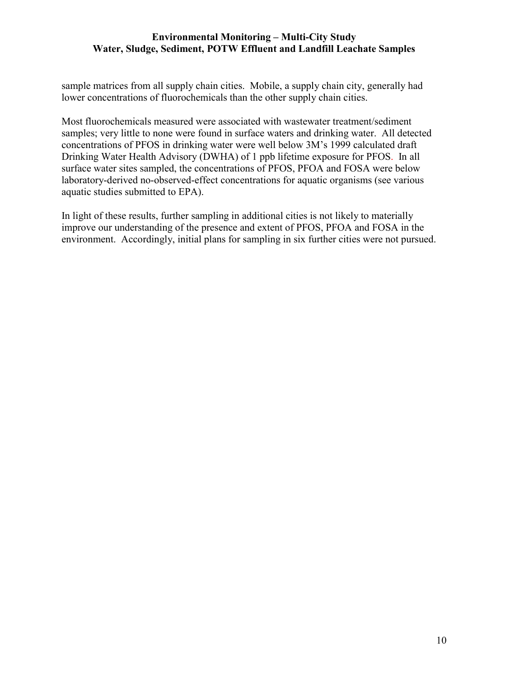sample matrices from all supply chain cities. Mobile, a supply chain city, generally had lower concentrations of fluorochemicals than the other supply chain cities.

Most fluorochemicals measured were associated with wastewater treatment/sediment samples; very little to none were found in surface waters and drinking water. All detected concentrations of PFOS in drinking water were well below 3M's 1999 calculated draft Drinking Water Health Advisory (DWHA) of 1 ppb lifetime exposure for PFOS. In all surface water sites sampled, the concentrations of PFOS, PFOA and FOSA were below laboratory-derived no-observed-effect concentrations for aquatic organisms (see various aquatic studies submitted to EPA).

In light of these results, further sampling in additional cities is not likely to materially improve our understanding of the presence and extent of PFOS, PFOA and FOSA in the environment. Accordingly, initial plans for sampling in six further cities were not pursued.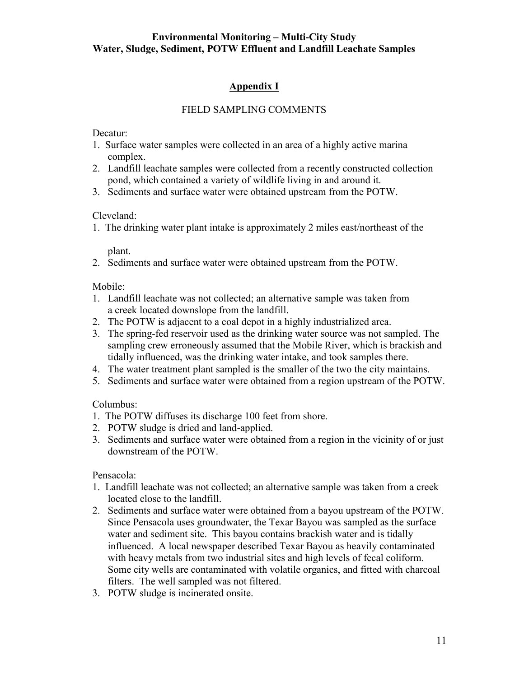## **Appendix I**

### FIELD SAMPLING COMMENTS

Decatur:

- 1. Surface water samples were collected in an area of a highly active marina complex.
- 2. Landfill leachate samples were collected from a recently constructed collection pond, which contained a variety of wildlife living in and around it.
- 3. Sediments and surface water were obtained upstream from the POTW.

Cleveland:

1. The drinking water plant intake is approximately 2 miles east/northeast of the

plant.

2. Sediments and surface water were obtained upstream from the POTW.

Mobile:

- 1. Landfill leachate was not collected; an alternative sample was taken from a creek located downslope from the landfill.
- 2. The POTW is adjacent to a coal depot in a highly industrialized area.
- 3. The spring-fed reservoir used as the drinking water source was not sampled. The sampling crew erroneously assumed that the Mobile River, which is brackish and tidally influenced, was the drinking water intake, and took samples there.
- 4. The water treatment plant sampled is the smaller of the two the city maintains.
- 5. Sediments and surface water were obtained from a region upstream of the POTW.

Columbus:

- 1. The POTW diffuses its discharge 100 feet from shore.
- 2. POTW sludge is dried and land-applied.
- 3. Sediments and surface water were obtained from a region in the vicinity of or just downstream of the POTW.

Pensacola:

- 1. Landfill leachate was not collected; an alternative sample was taken from a creek located close to the landfill.
- 2. Sediments and surface water were obtained from a bayou upstream of the POTW. Since Pensacola uses groundwater, the Texar Bayou was sampled as the surface water and sediment site. This bayou contains brackish water and is tidally influenced. A local newspaper described Texar Bayou as heavily contaminated with heavy metals from two industrial sites and high levels of fecal coliform. Some city wells are contaminated with volatile organics, and fitted with charcoal filters. The well sampled was not filtered.
- 3. POTW sludge is incinerated onsite.